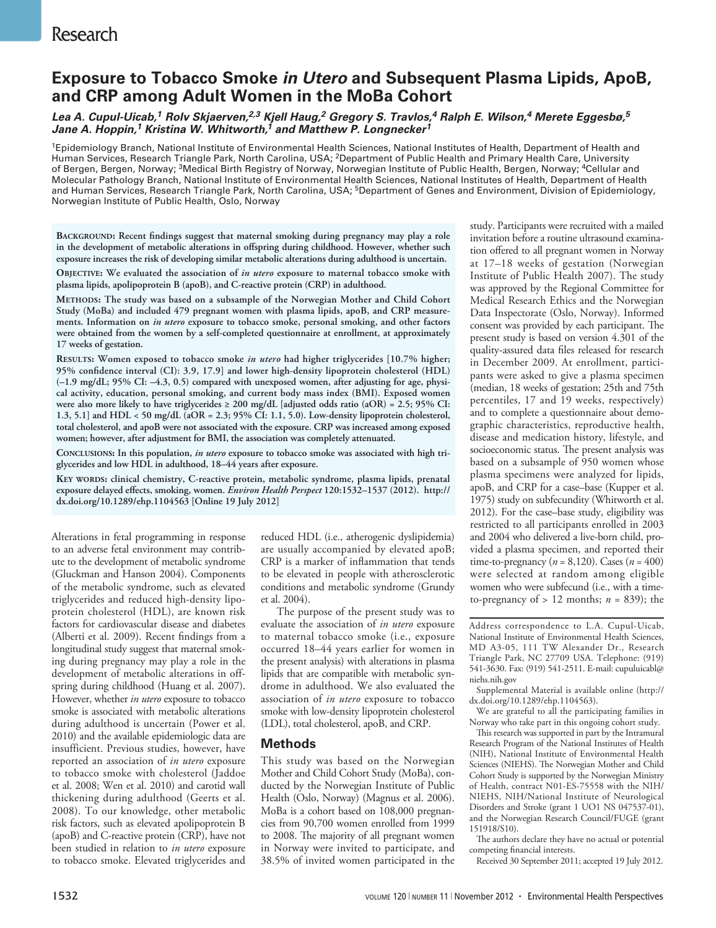# **Exposure to Tobacco Smoke** *in Utero* **and Subsequent Plasma Lipids, ApoB, and CRP among Adult Women in the MoBa Cohort**

*Lea A. Cupul‑Uicab,1 Rolv Skjaerven,2,3 Kjell Haug,2 Gregory S. Travlos,4 Ralph E. Wilson,4 Merete Eggesbø,5 Jane A. Hoppin,1 Kristina W. Whitworth,1 and Matthew P. Longnecker1*

1Epidemiology Branch, National Institute of Environmental Health Sciences, National Institutes of Health, Department of Health and Human Services, Research Triangle Park, North Carolina, USA; 2Department of Public Health and Primary Health Care, University of Bergen, Bergen, Norway; <sup>3</sup>Medical Birth Registry of Norway, Norwegian Institute of Public Health, Bergen, Norway; <sup>4</sup>Cellular and Molecular Pathology Branch, National Institute of Environmental Health Sciences, National Institutes of Health, Department of Health and Human Services, Research Triangle Park, North Carolina, USA; <sup>5</sup>Department of Genes and Environment, Division of Epidemiology, Norwegian Institute of Public Health, Oslo, Norway

**Background: Recent findings suggest that maternal smoking during pregnancy may play a role in the development of metabolic alterations in offspring during childhood. However, whether such exposure increases the risk of developing similar metabolic alterations during adulthood is uncertain.**

**Objective: We evaluated the association of** *in utero* **exposure to maternal tobacco smoke with plasma lipids, apolipoprotein B (apoB), and C-reactive protein (CRP) in adulthood.**

**Methods: The study was based on a subsample of the Norwegian Mother and Child Cohort Study (MoBa) and included 479 pregnant women with plasma lipids, apoB, and CRP measurements. Information on** *in utero* **exposure to tobacco smoke, personal smoking, and other factors were obtained from the women by a self-completed questionnaire at enrollment, at approximately 17 weeks of gestation.**

**Results: Women exposed to tobacco smoke** *in utero* **had higher triglycerides [10.7% higher; 95% confidence interval (CI): 3.9, 17.9] and lower high-density lipoprotein cholesterol (HDL) (–1.9 mg/dL; 95% CI: –4.3, 0.5) compared with unexposed women, after adjusting for age, physical activity, education, personal smoking, and current body mass index (BMI). Exposed women were also more likely to have triglycerides ≥ 200 mg/dL [adjusted odds ratio (aOR) = 2.5; 95% CI: 1.3, 5.1] and HDL < 50 mg/dL (aOR = 2.3; 95% CI: 1.1, 5.0). Low-density lipoprotein cholesterol, total cholesterol, and apoB were not associated with the exposure. CRP was increased among exposed women; however, after adjustment for BMI, the association was completely attenuated.**

**Conclusions: In this population,** *in utero* **exposure to tobacco smoke was associated with high triglycerides and low HDL in adulthood, 18–44 years after exposure.**

**Key words: clinical chemistry, C-reactive protein, metabolic syndrome, plasma lipids, prenatal exposure delayed effects, smoking, women.** *Environ Health Perspect* **120:1532–1537 (2012). http:// dx.doi.org/10.1289/ehp.1104563 [Online 19 July 2012]**

Alterations in fetal programming in response to an adverse fetal environment may contribute to the development of metabolic syndrome (Gluckman and Hanson 2004). Components of the metabolic syndrome, such as elevated triglycerides and reduced high-density lipoprotein cholesterol (HDL), are known risk factors for cardiovascular disease and diabetes (Alberti et al. 2009). Recent findings from a longitudinal study suggest that maternal smoking during pregnancy may play a role in the development of metabolic alterations in offspring during childhood (Huang et al. 2007). However, whether *in utero* exposure to tobacco smoke is associated with metabolic alterations during adulthood is uncertain (Power et al. 2010) and the available epidemiologic data are insufficient. Previous studies, however, have reported an association of *in utero* exposure to tobacco smoke with cholesterol (Jaddoe et al. 2008; Wen et al. 2010) and carotid wall thickening during adulthood (Geerts et al. 2008). To our knowledge, other metabolic risk factors, such as elevated apolipoprotein B (apoB) and C-reactive protein (CRP), have not been studied in relation to *in utero* exposure to tobacco smoke. Elevated triglycerides and

reduced HDL (i.e., atherogenic dyslipidemia) are usually accompanied by elevated apoB; CRP is a marker of inflammation that tends to be elevated in people with atherosclerotic conditions and metabolic syndrome (Grundy et al. 2004).

The purpose of the present study was to evaluate the association of *in utero* exposure to maternal tobacco smoke (i.e., exposure occurred 18–44 years earlier for women in the present analysis) with alterations in plasma lipids that are compatible with metabolic syndrome in adulthood. We also evaluated the association of *in utero* exposure to tobacco smoke with low-density lipoprotein cholesterol (LDL), total cholesterol, apoB, and CRP.

### **Methods**

This study was based on the Norwegian Mother and Child Cohort Study (MoBa), conducted by the Norwegian Institute of Public Health (Oslo, Norway) (Magnus et al. 2006). MoBa is a cohort based on 108,000 pregnancies from 90,700 women enrolled from 1999 to 2008. The majority of all pregnant women in Norway were invited to participate, and 38.5% of invited women participated in the

study. Participants were recruited with a mailed invitation before a routine ultrasound examination offered to all pregnant women in Norway at 17–18 weeks of gestation (Norwegian Institute of Public Health 2007). The study was approved by the Regional Committee for Medical Research Ethics and the Norwegian Data Inspectorate (Oslo, Norway). Informed consent was provided by each participant. The present study is based on version 4.301 of the quality-assured data files released for research in December 2009. At enrollment, participants were asked to give a plasma specimen (median, 18 weeks of gestation; 25th and 75th percentiles, 17 and 19 weeks, respectively) and to complete a questionnaire about demographic characteristics, reproductive health, disease and medication history, lifestyle, and socioeconomic status. The present analysis was based on a subsample of 950 women whose plasma specimens were analyzed for lipids, apoB, and CRP for a case–base (Kupper et al. 1975) study on subfecundity (Whitworth et al. 2012). For the case–base study, eligibility was restricted to all participants enrolled in 2003 and 2004 who delivered a live-born child, provided a plasma specimen, and reported their time-to-pregnancy ( $n = 8,120$ ). Cases ( $n = 400$ ) were selected at random among eligible women who were subfecund (i.e., with a timeto-pregnancy of  $> 12$  months;  $n = 839$ ); the

Address correspondence to L.A. Cupul-Uicab, National Institute of Environmental Health Sciences, MD A3-05, 111 TW Alexander Dr., Research Triangle Park, NC 27709 USA. Telephone: (919) 541-3630. Fax: (919) 541-2511. E-mail: cupuluicabl@ niehs.nih.gov

Supplemental Material is available online (http:// dx.doi.org/10.1289/ehp.1104563).

We are grateful to all the participating families in Norway who take part in this ongoing cohort study.

This research was supported in part by the Intramural Research Program of the National Institutes of Health (NIH), National Institute of Environmental Health Sciences (NIEHS). The Norwegian Mother and Child Cohort Study is supported by the Norwegian Ministry of Health, contract N01-ES-75558 with the NIH/ NIEHS, NIH/National Institute of Neurological Disorders and Stroke (grant 1 UO1 NS 047537-01), and the Norwegian Research Council/FUGE (grant 151918/S10).

The authors declare they have no actual or potential competing financial interests.

Received 30 September 2011; accepted 19 July 2012.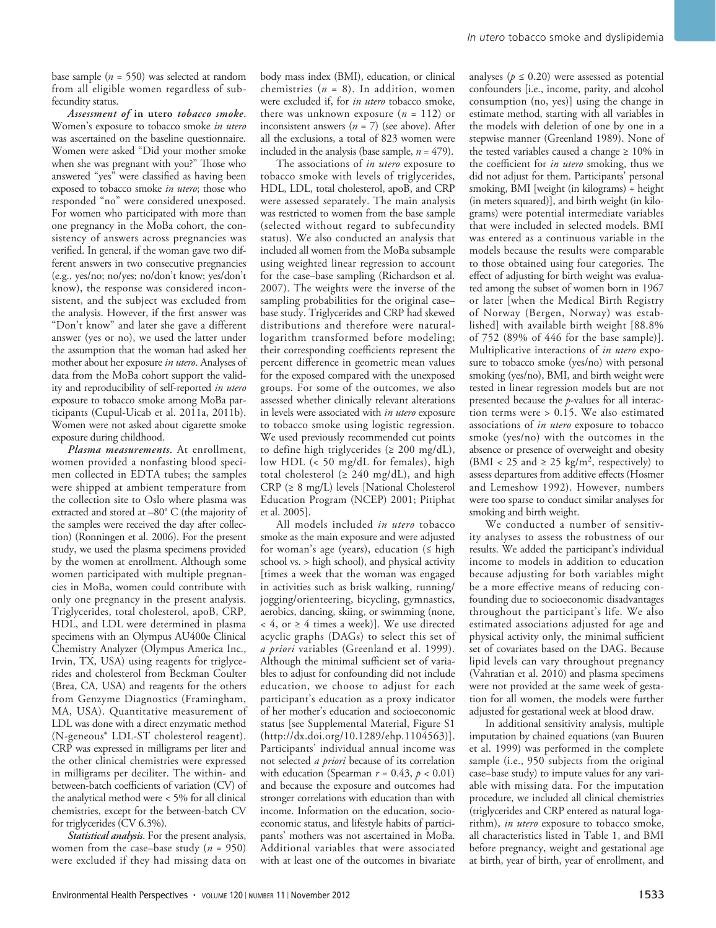*Assessment of* **in utero** *tobacco smoke*. Women's exposure to tobacco smoke *in utero* was ascertained on the baseline questionnaire. Women were asked "Did your mother smoke when she was pregnant with you?" Those who answered "yes" were classified as having been exposed to tobacco smoke *in utero*; those who responded "no" were considered unexposed. For women who participated with more than one pregnancy in the MoBa cohort, the consistency of answers across pregnancies was verified. In general, if the woman gave two different answers in two consecutive pregnancies (e.g., yes/no; no/yes; no/don't know; yes/don't know), the response was considered inconsistent, and the subject was excluded from the analysis. However, if the first answer was "Don't know" and later she gave a different answer (yes or no), we used the latter under the assumption that the woman had asked her mother about her exposure *in utero*. Analyses of data from the MoBa cohort support the validity and reproducibility of self-reported *in utero* exposure to tobacco smoke among MoBa participants (Cupul-Uicab et al. 2011a, 2011b). Women were not asked about cigarette smoke exposure during childhood.

*Plasma measurements*. At enrollment, women provided a nonfasting blood specimen collected in EDTA tubes; the samples were shipped at ambient temperature from the collection site to Oslo where plasma was extracted and stored at –80° C (the majority of the samples were received the day after collection) (Ronningen et al. 2006). For the present study, we used the plasma specimens provided by the women at enrollment. Although some women participated with multiple pregnancies in MoBa, women could contribute with only one pregnancy in the present analysis. Triglycerides, total cholesterol, apoB, CRP, HDL, and LDL were determined in plasma specimens with an Olympus AU400e Clinical Chemistry Analyzer (Olympus America Inc., Irvin, TX, USA) using reagents for triglycerides and cholesterol from Beckman Coulter (Brea, CA, USA) and reagents for the others from Genzyme Diagnostics (Framingham, MA, USA). Quantitative measurement of LDL was done with a direct enzymatic method (N-geneous® LDL-ST cholesterol reagent). CRP was expressed in milligrams per liter and the other clinical chemistries were expressed in milligrams per deciliter. The within- and between-batch coefficients of variation (CV) of the analytical method were < 5% for all clinical chemistries, except for the between-batch CV for triglycerides (CV 6.3%).

*Statistical analysis*. For the present analysis, women from the case–base study (*n* = 950) were excluded if they had missing data on body mass index (BMI), education, or clinical chemistries  $(n = 8)$ . In addition, women were excluded if, for *in utero* tobacco smoke, there was unknown exposure  $(n = 112)$  or inconsistent answers (*n* = 7) (see above). After all the exclusions, a total of 823 women were included in the analysis (base sample,  $n = 479$ ).

The associations of *in utero* exposure to tobacco smoke with levels of triglycerides, HDL, LDL, total cholesterol, apoB, and CRP were assessed separately. The main analysis was restricted to women from the base sample (selected without regard to subfecundity status). We also conducted an analysis that included all women from the MoBa subsample using weighted linear regression to account for the case–base sampling (Richardson et al. 2007). The weights were the inverse of the sampling probabilities for the original case– base study. Triglycerides and CRP had skewed distributions and therefore were naturallogarithm transformed before modeling; their corresponding coefficients represent the percent difference in geometric mean values for the exposed compared with the unexposed groups. For some of the outcomes, we also assessed whether clinically relevant alterations in levels were associated with *in utero* exposure to tobacco smoke using logistic regression. We used previously recommended cut points to define high triglycerides ( $\geq 200 \text{ mg/dL}$ ), low HDL (< 50 mg/dL for females), high total cholesterol ( $\geq 240$  mg/dL), and high CRP (≥ 8 mg/L) levels [National Cholesterol Education Program (NCEP) 2001; Pitiphat et al. 2005].

All models included *in utero* tobacco smoke as the main exposure and were adjusted for woman's age (years), education  $($ ≤ high school vs. > high school), and physical activity [times a week that the woman was engaged in activities such as brisk walking, running/ jogging/orienteering, bicycling, gymnastics, aerobics, dancing, skiing, or swimming (none,  $<$  4, or  $\geq$  4 times a week)]. We use directed acyclic graphs (DAGs) to select this set of *a priori* variables (Greenland et al. 1999). Although the minimal sufficient set of variables to adjust for confounding did not include education, we choose to adjust for each participant's education as a proxy indicator of her mother's education and socioeconomic status [see Supplemental Material, Figure S1 (http://dx.doi.org/10.1289/ehp.1104563)]. Participants' individual annual income was not selected *a priori* because of its correlation with education (Spearman  $r = 0.43$ ,  $p < 0.01$ ) and because the exposure and outcomes had stronger correlations with education than with income. Information on the education, socioeconomic status, and lifestyle habits of participants' mothers was not ascertained in MoBa. Additional variables that were associated with at least one of the outcomes in bivariate

analyses ( $p \leq 0.20$ ) were assessed as potential confounders [i.e., income, parity, and alcohol consumption (no, yes)] using the change in estimate method, starting with all variables in the models with deletion of one by one in a stepwise manner (Greenland 1989). None of the tested variables caused a change  $\geq 10\%$  in the coefficient for *in utero* smoking, thus we did not adjust for them. Participants' personal smoking, BMI [weight (in kilograms) ÷ height (in meters squared)], and birth weight (in kilograms) were potential intermediate variables that were included in selected models. BMI was entered as a continuous variable in the models because the results were comparable to those obtained using four categories. The effect of adjusting for birth weight was evaluated among the subset of women born in 1967 or later [when the Medical Birth Registry of Norway (Bergen, Norway) was established] with available birth weight [88.8% of 752 (89% of 446 for the base sample)]. Multiplicative interactions of *in utero* exposure to tobacco smoke (yes/no) with personal smoking (yes/no), BMI, and birth weight were tested in linear regression models but are not presented because the *p*-values for all interaction terms were > 0.15. We also estimated associations of *in utero* exposure to tobacco smoke (yes/no) with the outcomes in the absence or presence of overweight and obesity (BMI <  $25$  and  $\geq 25$  kg/m<sup>2</sup>, respectively) to assess departures from additive effects (Hosmer and Lemeshow 1992). However, numbers were too sparse to conduct similar analyses for smoking and birth weight.

We conducted a number of sensitivity analyses to assess the robustness of our results. We added the participant's individual income to models in addition to education because adjusting for both variables might be a more effective means of reducing confounding due to socioeconomic disadvantages throughout the participant's life. We also estimated associations adjusted for age and physical activity only, the minimal sufficient set of covariates based on the DAG. Because lipid levels can vary throughout pregnancy (Vahratian et al. 2010) and plasma specimens were not provided at the same week of gestation for all women, the models were further adjusted for gestational week at blood draw.

In additional sensitivity analysis, multiple imputation by chained equations (van Buuren et al. 1999) was performed in the complete sample (i.e., 950 subjects from the original case–base study) to impute values for any variable with missing data. For the imputation procedure, we included all clinical chemistries (triglycerides and CRP entered as natural logarithm), *in utero* exposure to tobacco smoke, all characteristics listed in Table 1, and BMI before pregnancy, weight and gestational age at birth, year of birth, year of enrollment, and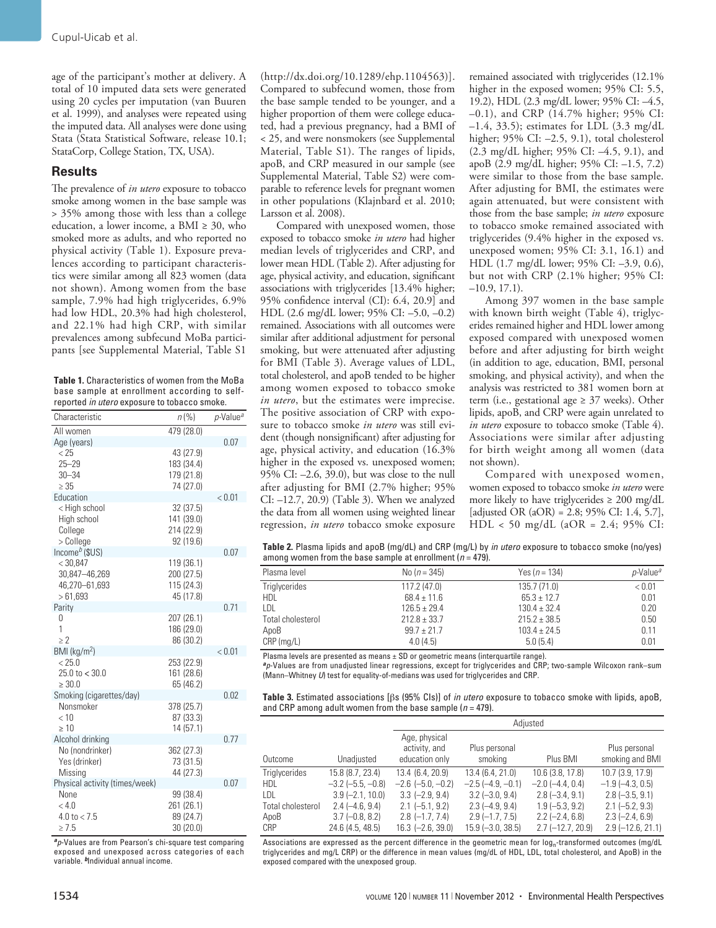age of the participant's mother at delivery. A total of 10 imputed data sets were generated using 20 cycles per imputation (van Buuren et al. 1999), and analyses were repeated using the imputed data. All analyses were done using Stata (Stata Statistical Software, release 10.1; StataCorp, College Station, TX, USA).

## **Results**

The prevalence of *in utero* exposure to tobacco smoke among women in the base sample was > 35% among those with less than a college education, a lower income, a BMI  $\geq 30$ , who smoked more as adults, and who reported no physical activity (Table 1). Exposure prevalences according to participant characteristics were similar among all 823 women (data not shown). Among women from the base sample, 7.9% had high triglycerides, 6.9% had low HDL, 20.3% had high cholesterol, and 22.1% had high CRP, with similar prevalences among subfecund MoBa participants [see Supplemental Material, Table S1

**Table 1.** Characteristics of women from the MoBa base sample at enrollment according to selfreported *in utero* exposure to tobacco smoke.

| Characteristic                       | $n\binom{0}{0}$         | p-Value <sup>a</sup> |
|--------------------------------------|-------------------------|----------------------|
| All women                            | 479 (28.0)              |                      |
| Age (years)                          |                         | 0.07                 |
| < 25                                 | 43 (27.9)               |                      |
| $25 - 29$                            | 183 (34.4)              |                      |
| $30 - 34$                            | 179 (21.8)              |                      |
| $\geq 35$                            | 74 (27.0)               |                      |
| Education<br>< High school           | 32(37.5)                | < 0.01               |
| High school                          | 141 (39.0)              |                      |
| College                              | 214 (22.9)              |                      |
| > College                            | 92 (19.6)               |                      |
| $Income^b$ (\$US)                    |                         | 0.07                 |
| < 30,847                             | 119 (36.1)              |                      |
| 30,847-46,269                        | 200 (27.5)              |                      |
| 46,270-61,693                        | 115 (24.3)              |                      |
| >61,693                              | 45 (17.8)               |                      |
| Parity                               |                         | 0.71                 |
| 0                                    | 207 (26.1)              |                      |
| 1                                    | 186 (29.0)              |                      |
| $\geq$ 2<br>BMI (kq/m <sup>2</sup> ) | 86 (30.2)               |                      |
| < 25.0                               | 253 (22.9)              | < 0.01               |
| 25.0 t0 < 30.0                       | 161 (28.6)              |                      |
| $\geq 30.0$                          | 65 (46.2)               |                      |
| Smoking (cigarettes/day)             |                         | 0.02                 |
| Nonsmoker                            | 378 (25.7)              |                      |
| < 10                                 | 87 (33.3)               |                      |
| $\geq 10$                            | 14 (57.1)               |                      |
| Alcohol drinking                     |                         | 0.77                 |
| No (nondrinker)                      | 362 (27.3)              |                      |
| Yes (drinker)                        | 73 (31.5)               |                      |
| Missing                              | 44 (27.3)               |                      |
| Physical activity (times/week)       |                         | 0.07                 |
| None                                 | 99 (38.4)               |                      |
| < 4.0<br>4.0 to $<$ 7.5              | 261 (26.1)<br>89 (24.7) |                      |
| $\geq 7.5$                           | 30(20.0)                |                      |
|                                      |                         |                      |

*<sup>a</sup>p*-Values are from Pearson's chi-square test comparing exposed and unexposed across categories of each variable. *b*Individual annual income.

(http://dx.doi.org/10.1289/ehp.1104563)]. Compared to subfecund women, those from the base sample tended to be younger, and a higher proportion of them were college educated, had a previous pregnancy, had a BMI of < 25, and were nonsmokers (see Supplemental Material, Table S1). The ranges of lipids, apoB, and CRP measured in our sample (see Supplemental Material, Table S2) were comparable to reference levels for pregnant women in other populations (Klajnbard et al. 2010; Larsson et al. 2008).

Compared with unexposed women, those exposed to tobacco smoke *in utero* had higher median levels of triglycerides and CRP, and lower mean HDL (Table 2). After adjusting for age, physical activity, and education, significant associations with triglycerides [13.4% higher; 95% confidence interval (CI): 6.4, 20.9] and HDL (2.6 mg/dL lower; 95% CI: –5.0, –0.2) remained. Associations with all outcomes were similar after additional adjustment for personal smoking, but were attenuated after adjusting for BMI (Table 3). Average values of LDL, total cholesterol, and apoB tended to be higher among women exposed to tobacco smoke *in utero*, but the estimates were imprecise. The positive association of CRP with exposure to tobacco smoke *in utero* was still evident (though nonsignificant) after adjusting for age, physical activity, and education (16.3% higher in the exposed vs. unexposed women; 95% CI: –2.6, 39.0), but was close to the null after adjusting for BMI (2.7% higher; 95% CI: –12.7, 20.9) (Table 3). When we analyzed the data from all women using weighted linear regression, *in utero* tobacco smoke exposure

remained associated with triglycerides (12.1% higher in the exposed women; 95% CI: 5.5, 19.2), HDL (2.3 mg/dL lower; 95% CI: –4.5, –0.1), and CRP (14.7% higher; 95% CI:  $-1.4$ , 33.5); estimates for LDL (3.3 mg/dL) higher; 95% CI: –2.5, 9.1), total cholesterol (2.3 mg/dL higher; 95% CI: –4.5, 9.1), and apoB (2.9 mg/dL higher; 95% CI: –1.5, 7.2) were similar to those from the base sample. After adjusting for BMI, the estimates were again attenuated, but were consistent with those from the base sample; *in utero* exposure to tobacco smoke remained associated with triglycerides (9.4% higher in the exposed vs. unexposed women; 95% CI: 3.1, 16.1) and HDL (1.7 mg/dL lower; 95% CI: –3.9, 0.6), but not with CRP (2.1% higher; 95% CI: –10.9, 17.1).

Among 397 women in the base sample with known birth weight (Table 4), triglycerides remained higher and HDL lower among exposed compared with unexposed women before and after adjusting for birth weight (in addition to age, education, BMI, personal smoking, and physical activity), and when the analysis was restricted to 381 women born at term (i.e., gestational age  $\geq 37$  weeks). Other lipids, apoB, and CRP were again unrelated to *in utero* exposure to tobacco smoke (Table 4). Associations were similar after adjusting for birth weight among all women (data not shown).

Compared with unexposed women, women exposed to tobacco smoke *in utero* were more likely to have triglycerides  $\geq 200$  mg/dL [adjusted OR (aOR) = 2.8;  $95\%$  CI: 1.4, 5.7], HDL < 50 mg/dL (aOR = 2.4; 95% CI:

**Table 2.** Plasma lipids and apoB (mg/dL) and CRP (mg/L) by *in utero* exposure to tobacco smoke (no/yes) among women from the base sample at enrollment (*n* = 479).

| Plasma level      | No $(n = 345)$   | Yes $(n = 134)$  | <i>p</i> -Value <sup>a</sup> |
|-------------------|------------------|------------------|------------------------------|
| Triglycerides     | 117.2(47.0)      | 135.7(71.0)      | < 0.01                       |
| HDL               | $68.4 \pm 11.6$  | $65.3 \pm 12.7$  | 0.01                         |
| LDL               | $126.5 \pm 29.4$ | $130.4 \pm 32.4$ | 0.20                         |
| Total cholesterol | $212.8 \pm 33.7$ | $215.2 \pm 38.5$ | 0.50                         |
| ApoB              | $99.7 \pm 21.7$  | $103.4 \pm 24.5$ | 0.11                         |
| CRP (mg/L)        | 4.0(4.5)         | 5.0(5.4)         | 0.01                         |
|                   |                  |                  |                              |

Plasma levels are presented as means  $\pm$  SD or geometric means (interquartile range).

*<sup>a</sup>p*-Values are from unadjusted linear regressions, except for triglycerides and CRP; two-sample Wilcoxon rank–sum (Mann–Whitney *U*) test for equality-of-medians was used for triglycerides and CRP.

| Table 3. Estimated associations [ $\beta$ s (95% CIs)] of <i>in utero</i> exposure to tobacco smoke with lipids, apoB, |
|------------------------------------------------------------------------------------------------------------------------|
| and CRP among adult women from the base sample ( $n = 479$ ).                                                          |

|                   |                         | Adjusted                                         |                          |                      |                                  |
|-------------------|-------------------------|--------------------------------------------------|--------------------------|----------------------|----------------------------------|
| Outcome           | Unadjusted              | Age, physical<br>activity, and<br>education only | Plus personal<br>smoking | Plus BMI             | Plus personal<br>smoking and BMI |
| Triglycerides     | 15.8 (8.7, 23.4)        | 13.4 (6.4, 20.9)                                 | 13.4 (6.4, 21.0)         | 10.6 (3.8, 17.8)     | 10.7 (3.9, 17.9)                 |
| HDL               | $-3.2$ ( $-5.5, -0.8$ ) | $-2.6$ $(-5.0, -0.2)$                            | $-2.5(-4.9,-0.1)$        | $-2.0$ $(-4.4, 0.4)$ | $-1.9$ ( $-4.3$ , 0.5)           |
| LDL               | $3.9(-2.1, 10.0)$       | $3.3$ (-2.9, 9.4)                                | $3.2 (-3.0, 9.4)$        | $2.8(-3.4, 9.1)$     | $2.8 (-3.5, 9.1)$                |
| Total cholesterol | $2.4(-4.6, 9.4)$        | $2.1$ (-5.1, 9.2)                                | $2.3(-4.9.9.4)$          | $1.9(-5.3, 9.2)$     | $2.1 (-5.2, 9.3)$                |
| ApoB              | $3.7(-0.8, 8.2)$        | $2.8$ (-1.7, 7.4)                                | $2.9(-1.7.7.5)$          | $2.2$ (-2.4, 6.8)    | $2.3$ (-2.4, 6.9)                |
| CRP               | 24.6 (4.5, 48.5)        | $16.3$ $(-2.6, 39.0)$                            | $15.9 (-3.0, 38.5)$      | $2.7$ (-12.7, 20.9)  | $2.9$ (-12.6, 21.1)              |

Associations are expressed as the percent difference in the geometric mean for log<sub>n</sub>-transformed outcomes (mg/dL triglycerides and mg/L CRP) or the difference in mean values (mg/dL of HDL, LDL, total cholesterol, and ApoB) in the exposed compared with the unexposed group.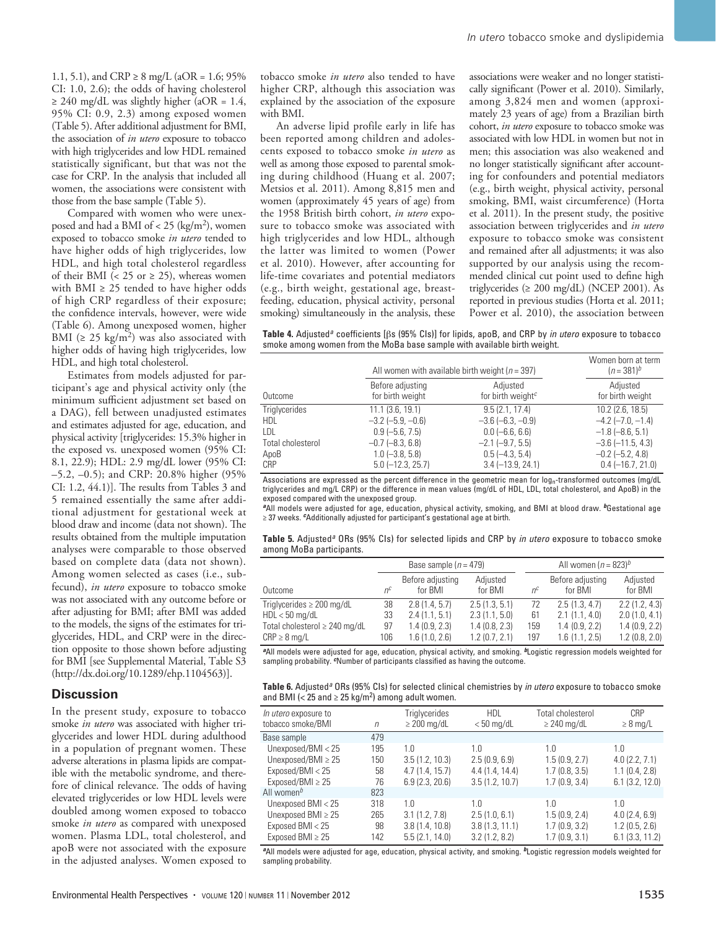1.1, 5.1), and CRP  $\geq 8$  mg/L (aOR = 1.6; 95% CI: 1.0, 2.6); the odds of having cholesterol  $\geq$  240 mg/dL was slightly higher (aOR = 1.4, 95% CI: 0.9, 2.3) among exposed women (Table 5). After additional adjustment for BMI, the association of *in utero* exposure to tobacco with high triglycerides and low HDL remained statistically significant, but that was not the case for CRP. In the analysis that included all women, the associations were consistent with those from the base sample (Table 5).

Compared with women who were unexposed and had a BMI of  $<$  25 (kg/m<sup>2</sup>), women exposed to tobacco smoke *in utero* tended to have higher odds of high triglycerides, low HDL, and high total cholesterol regardless of their BMI (< 25 or  $\geq$  25), whereas women with BMI  $\geq$  25 tended to have higher odds of high CRP regardless of their exposure; the confidence intervals, however, were wide (Table 6). Among unexposed women, higher BMI ( $\geq 25$  kg/m<sup>2</sup>) was also associated with higher odds of having high triglycerides, low HDL, and high total cholesterol.

Estimates from models adjusted for participant's age and physical activity only (the minimum sufficient adjustment set based on a DAG), fell between unadjusted estimates and estimates adjusted for age, education, and physical activity [triglycerides: 15.3% higher in the exposed vs. unexposed women (95% CI: 8.1, 22.9); HDL: 2.9 mg/dL lower (95% CI: –5.2, –0.5); and CRP: 20.8% higher (95% CI: 1.2, 44.1)]. The results from Tables 3 and 5 remained essentially the same after additional adjustment for gestational week at blood draw and income (data not shown). The results obtained from the multiple imputation analyses were comparable to those observed based on complete data (data not shown). Among women selected as cases (i.e., subfecund), *in utero* exposure to tobacco smoke was not associated with any outcome before or after adjusting for BMI; after BMI was added to the models, the signs of the estimates for triglycerides, HDL, and CRP were in the direction opposite to those shown before adjusting for BMI [see Supplemental Material, Table S3 (http://dx.doi.org/10.1289/ehp.1104563)].

#### **Discussion**

In the present study, exposure to tobacco smoke *in utero* was associated with higher triglycerides and lower HDL during adulthood in a population of pregnant women. These adverse alterations in plasma lipids are compatible with the metabolic syndrome, and therefore of clinical relevance. The odds of having elevated triglycerides or low HDL levels were doubled among women exposed to tobacco smoke *in utero* as compared with unexposed women. Plasma LDL, total cholesterol, and apoB were not associated with the exposure in the adjusted analyses. Women exposed to

tobacco smoke *in utero* also tended to have higher CRP, although this association was explained by the association of the exposure with BMI.

An adverse lipid profile early in life has been reported among children and adolescents exposed to tobacco smoke *in utero* as well as among those exposed to parental smoking during childhood (Huang et al. 2007; Metsios et al. 2011). Among 8,815 men and women (approximately 45 years of age) from the 1958 British birth cohort, *in utero* exposure to tobacco smoke was associated with high triglycerides and low HDL, although the latter was limited to women (Power et al. 2010). However, after accounting for life-time covariates and potential mediators (e.g., birth weight, gestational age, breastfeeding, education, physical activity, personal smoking) simultaneously in the analysis, these

associations were weaker and no longer statistically significant (Power et al. 2010). Similarly, among 3,824 men and women (approximately 23 years of age) from a Brazilian birth cohort, *in utero* exposure to tobacco smoke was associated with low HDL in women but not in men; this association was also weakened and no longer statistically significant after accounting for confounders and potential mediators (e.g., birth weight, physical activity, personal smoking, BMI, waist circumference) (Horta et al. 2011). In the present study, the positive association between triglycerides and *in utero* exposure to tobacco smoke was consistent and remained after all adjustments; it was also supported by our analysis using the recommended clinical cut point used to define high triglycerides ( $\geq 200 \text{ mg/dL}$ ) (NCEP 2001). As reported in previous studies (Horta et al. 2011; Power et al. 2010), the association between

**Table 4.** Adjusted*a* coefficients [bs (95% CIs)] for lipids, apoB, and CRP by *in utero* exposure to tobacco smoke among women from the MoBa base sample with available birth weight.

|                      | All women with available birth weight ( $n = 397$ ) | Women born at term<br>$(n = 381)^b$                    |                              |
|----------------------|-----------------------------------------------------|--------------------------------------------------------|------------------------------|
| Outcome              | Before adjusting<br>for birth weight                | Adjusted<br>for birth weight <sup><math>c</math></sup> | Adjusted<br>for birth weight |
| <b>Triglycerides</b> | $11.1$ (3.6, 19.1)                                  | 9.5(2.1, 17.4)                                         | $10.2$ (2.6, 18.5)           |
| HDL                  | $-3.2$ ( $-5.9$ , $-0.6$ )                          | $-3.6$ ( $-6.3$ , $-0.9$ )                             | $-4.2$ ( $-7.0$ , $-1.4$ )   |
| LDL                  | $0.9$ (-5.6, 7.5)                                   | $0.0$ (-6.6, 6.6)                                      | $-1.8$ ( $-8.6$ , 5.1)       |
| Total cholesterol    | $-0.7$ $(-8.3, 6.8)$                                | $-2.1$ $(-9.7, 5.5)$                                   | $-3.6$ ( $-11.5$ , 4.3)      |
| ApoB                 | $1.0 (-3.8, 5.8)$                                   | $0.5(-4.3, 5.4)$                                       | $-0.2$ ( $-5.2$ , 4.8)       |
| CRP                  | $5.0$ (-12.3, 25.7)                                 | $3.4 (-13.9, 24.1)$                                    | $0.4 (-16.7, 21.0)$          |

Associations are expressed as the percent difference in the geometric mean for log<sub>n</sub>-transformed outcomes (mg/dL triglycerides and mg/L CRP) or the difference in mean values (mg/dL of HDL, LDL, total cholesterol, and ApoB) in the exposed compared with the unexposed group.

*<sup>a</sup>*All models were adjusted for age, education, physical activity, smoking, and BMI at blood draw. *b*Gestational age ≥ 37 weeks. *c*Additionally adjusted for participant's gestational age at birth.

| Table 5. Adjusted <sup>8</sup> ORs (95% CIs) for selected lipids and CRP by <i>in utero</i> exposure to tobacco smoke |  |  |
|-----------------------------------------------------------------------------------------------------------------------|--|--|
| among MoBa participants.                                                                                              |  |  |

|                                    |       | Base sample ( $n = 479$ )   |                     |         | All women $(n = 823)^b$     |                     |  |
|------------------------------------|-------|-----------------------------|---------------------|---------|-----------------------------|---------------------|--|
| Outcome                            | $n^c$ | Before adjusting<br>for BMI | Adjusted<br>for BMI | $n^{c}$ | Before adjusting<br>for BMI | Adjusted<br>for BMI |  |
| Triglycerides $\geq 200$ mg/dL     | 38    | 2.8(1.4, 5.7)               | 2.5(1.3, 5.1)       | 72      | 2.5(1.3, 4.7)               | 2.2(1.2, 4.3)       |  |
| $HDL < 50$ mg/dL                   | 33    | 2.4(1.1, 5.1)               | 2.3(1.1, 5.0)       | 61      | 2.1(1.1, 4.0)               | 2.0(1.0, 4.1)       |  |
| Total cholesterol $\geq$ 240 mg/dL | 97    | 1.4(0.9, 2.3)               | 1.4(0.8, 2.3)       | 159     | 1.4(0.9, 2.2)               | 1.4(0.9, 2.2)       |  |
| $CRP \geq 8$ mg/L                  | 106   | 1.6(1.0, 2.6)               | 1.2(0.7, 2.1)       | 197     | 1.6(1.1, 2.5)               | 1.2(0.8, 2.0)       |  |

*<sup>a</sup>*All models were adjusted for age, education, physical activity, and smoking. *b*Logistic regression models weighted for sampling probability. *c*Number of participants classified as having the outcome.

**Table 6.** Adjusted*a* ORs (95% CIs) for selected clinical chemistries by *in utero* exposure to tobacco smoke and BMI (< 25 and  $\geq$  25 kg/m<sup>2</sup>) among adult women.

| <i>In utero</i> exposure to<br>tobacco smoke/BMI | $\eta$ | <b>Triglycerides</b><br>$\geq$ 200 mg/dL | <b>HDL</b><br>$< 50$ mg/dL | Total cholesterol<br>$\geq$ 240 mg/dL | CRP<br>$\geq 8$ mg/L |
|--------------------------------------------------|--------|------------------------------------------|----------------------------|---------------------------------------|----------------------|
| Base sample                                      | 479    |                                          |                            |                                       |                      |
| Unexposed/BMI $<$ 25                             | 195    | 1.0                                      | 1.0                        | 1.0                                   | 1.0                  |
| Unexposed/BMI $\geq$ 25                          | 150    | 3.5(1.2, 10.3)                           | 2.5(0.9, 6.9)              | 1.5(0.9, 2.7)                         | 4.0(2.2, 7.1)        |
| Exposed/BMI < 25                                 | 58     | 4.7(1.4, 15.7)                           | 4.4(1.4, 14.4)             | 1.7(0.8, 3.5)                         | 1.1(0.4, 2.8)        |
| Exposed/BMI $\geq$ 25                            | 76     | 6.9(2.3, 20.6)                           | 3.5(1.2, 10.7)             | 1.7(0.9, 3.4)                         | 6.1(3.2, 12.0)       |
| All women <sup>b</sup>                           | 823    |                                          |                            |                                       |                      |
| Unexposed BMI < 25                               | 318    | 1.0                                      | 1.0                        | 1.0                                   | 1.0                  |
| Unexposed BMI $\geq$ 25                          | 265    | 3.1(1.2, 7.8)                            | 2.5(1.0, 6.1)              | 1.5(0.9, 2.4)                         | 4.0(2.4, 6.9)        |
| Exposed BMI < 25                                 | 98     | 3.8(1.4, 10.8)                           | 3.8(1.3, 11.1)             | 1.7(0.9, 3.2)                         | 1.2(0.5, 2.6)        |
| Exposed BMI $\geq$ 25                            | 142    | 5.5(2.1, 14.0)                           | 3.2(1.2, 8.2)              | 1.7(0.9, 3.1)                         | 6.1(3.3, 11.2)       |
|                                                  |        |                                          |                            |                                       |                      |

*<sup>a</sup>*All models were adjusted for age, education, physical activity, and smoking. *b*Logistic regression models weighted for sampling probability.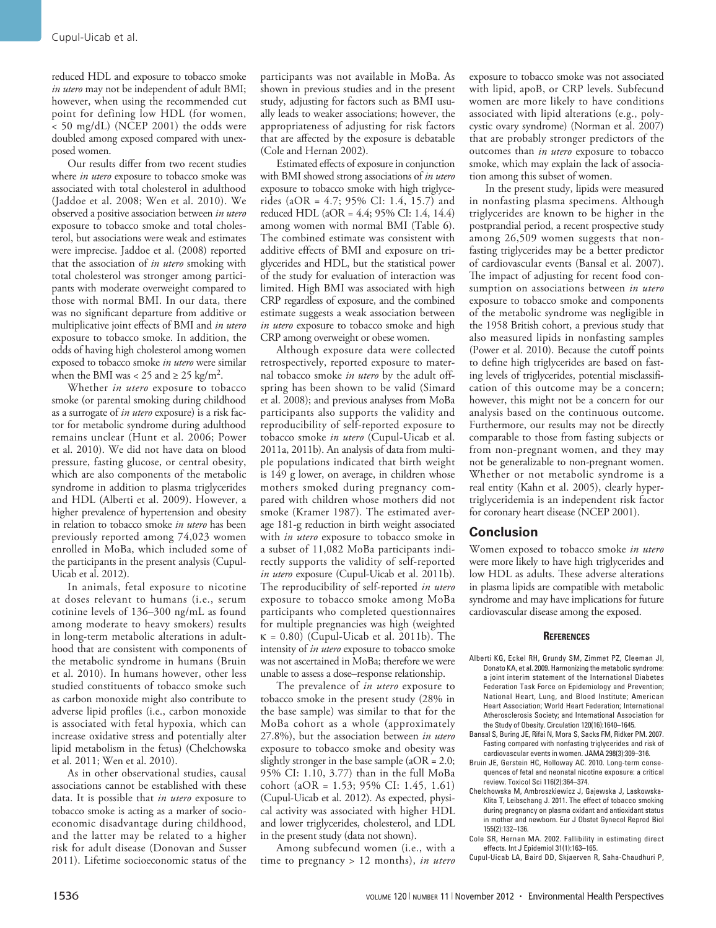reduced HDL and exposure to tobacco smoke *in utero* may not be independent of adult BMI; however, when using the recommended cut point for defining low HDL (for women, < 50 mg/dL) (NCEP 2001) the odds were doubled among exposed compared with unexposed women.

Our results differ from two recent studies where *in utero* exposure to tobacco smoke was associated with total cholesterol in adulthood (Jaddoe et al. 2008; Wen et al. 2010). We observed a positive association between *in utero* exposure to tobacco smoke and total cholesterol, but associations were weak and estimates were imprecise. Jaddoe et al. (2008) reported that the association of *in utero* smoking with total cholesterol was stronger among participants with moderate overweight compared to those with normal BMI. In our data, there was no significant departure from additive or multiplicative joint effects of BMI and *in utero* exposure to tobacco smoke. In addition, the odds of having high cholesterol among women exposed to tobacco smoke *in utero* were similar when the BMI was < 25 and  $\geq$  25 kg/m<sup>2</sup>.

Whether *in utero* exposure to tobacco smoke (or parental smoking during childhood as a surrogate of *in utero* exposure) is a risk factor for metabolic syndrome during adulthood remains unclear (Hunt et al. 2006; Power et al. 2010). We did not have data on blood pressure, fasting glucose, or central obesity, which are also components of the metabolic syndrome in addition to plasma triglycerides and HDL (Alberti et al. 2009). However, a higher prevalence of hypertension and obesity in relation to tobacco smoke *in utero* has been previously reported among 74,023 women enrolled in MoBa, which included some of the participants in the present analysis (Cupul-Uicab et al. 2012).

In animals, fetal exposure to nicotine at doses relevant to humans (i.e., serum cotinine levels of 136–300 ng/mL as found among moderate to heavy smokers) results in long-term metabolic alterations in adulthood that are consistent with components of the metabolic syndrome in humans (Bruin et al. 2010). In humans however, other less studied constituents of tobacco smoke such as carbon monoxide might also contribute to adverse lipid profiles (i.e., carbon monoxide is associated with fetal hypoxia, which can increase oxidative stress and potentially alter lipid metabolism in the fetus) (Chelchowska et al. 2011; Wen et al. 2010).

As in other observational studies, causal associations cannot be established with these data. It is possible that *in utero* exposure to tobacco smoke is acting as a marker of socioeconomic disadvantage during childhood, and the latter may be related to a higher risk for adult disease (Donovan and Susser 2011). Lifetime socioeconomic status of the

participants was not available in MoBa. As shown in previous studies and in the present study, adjusting for factors such as BMI usually leads to weaker associations; however, the appropriateness of adjusting for risk factors that are affected by the exposure is debatable (Cole and Hernan 2002).

Estimated effects of exposure in conjunction with BMI showed strong associations of *in utero* exposure to tobacco smoke with high triglycerides (aOR = 4.7; 95% CI: 1.4, 15.7) and reduced HDL (aOR = 4.4; 95% CI: 1.4, 14.4) among women with normal BMI (Table 6). The combined estimate was consistent with additive effects of BMI and exposure on triglycerides and HDL, but the statistical power of the study for evaluation of interaction was limited. High BMI was associated with high CRP regardless of exposure, and the combined estimate suggests a weak association between *in utero* exposure to tobacco smoke and high CRP among overweight or obese women.

Although exposure data were collected retrospectively, reported exposure to maternal tobacco smoke *in utero* by the adult offspring has been shown to be valid (Simard et al. 2008); and previous analyses from MoBa participants also supports the validity and reproducibility of self-reported exposure to tobacco smoke *in utero* (Cupul-Uicab et al. 2011a, 2011b). An analysis of data from multiple populations indicated that birth weight is 149 g lower, on average, in children whose mothers smoked during pregnancy compared with children whose mothers did not smoke (Kramer 1987). The estimated average 181-g reduction in birth weight associated with *in utero* exposure to tobacco smoke in a subset of 11,082 MoBa participants indirectly supports the validity of self-reported *in utero* exposure (Cupul-Uicab et al. 2011b). The reproducibility of self-reported *in utero* exposure to tobacco smoke among MoBa participants who completed questionnaires for multiple pregnancies was high (weighted  $\kappa$  = 0.80) (Cupul-Uicab et al. 2011b). The intensity of *in utero* exposure to tobacco smoke was not ascertained in MoBa; therefore we were unable to assess a dose–response relationship.

The prevalence of *in utero* exposure to tobacco smoke in the present study (28% in the base sample) was similar to that for the MoBa cohort as a whole (approximately 27.8%), but the association between *in utero* exposure to tobacco smoke and obesity was slightly stronger in the base sample  $(aOR = 2.0;$ 95% CI: 1.10, 3.77) than in the full MoBa cohort (aOR = 1.53; 95% CI: 1.45, 1.61) (Cupul-Uicab et al. 2012). As expected, physical activity was associated with higher HDL and lower triglycerides, cholesterol, and LDL in the present study (data not shown).

Among subfecund women (i.e., with a time to pregnancy > 12 months), *in utero*

exposure to tobacco smoke was not associated with lipid, apoB, or CRP levels. Subfecund women are more likely to have conditions associated with lipid alterations (e.g., polycystic ovary syndrome) (Norman et al. 2007) that are probably stronger predictors of the outcomes than *in utero* exposure to tobacco smoke, which may explain the lack of association among this subset of women.

In the present study, lipids were measured in nonfasting plasma specimens. Although triglycerides are known to be higher in the postprandial period, a recent prospective study among 26,509 women suggests that nonfasting triglycerides may be a better predictor of cardiovascular events (Bansal et al. 2007). The impact of adjusting for recent food consumption on associations between *in utero* exposure to tobacco smoke and components of the metabolic syndrome was negligible in the 1958 British cohort, a previous study that also measured lipids in nonfasting samples (Power et al. 2010). Because the cutoff points to define high triglycerides are based on fasting levels of triglycerides, potential misclassification of this outcome may be a concern; however, this might not be a concern for our analysis based on the continuous outcome. Furthermore, our results may not be directly comparable to those from fasting subjects or from non-pregnant women, and they may not be generalizable to non-pregnant women. Whether or not metabolic syndrome is a real entity (Kahn et al. 2005), clearly hypertriglyceridemia is an independent risk factor for coronary heart disease (NCEP 2001).

## **Conclusion**

Women exposed to tobacco smoke *in utero* were more likely to have high triglycerides and low HDL as adults. These adverse alterations in plasma lipids are compatible with metabolic syndrome and may have implications for future cardiovascular disease among the exposed.

#### **References**

- Alberti KG, Eckel RH, Grundy SM, Zimmet PZ, Cleeman JI, Donato KA, et al. 2009. Harmonizing the metabolic syndrome: a joint interim statement of the International Diabetes Federation Task Force on Epidemiology and Prevention; National Heart, Lung, and Blood Institute; American Heart Association; World Heart Federation; International Atherosclerosis Society; and International Association for the Study of Obesity. Circulation 120(16):1640–1645.
- Bansal S, Buring JE, Rifai N, Mora S, Sacks FM, Ridker PM. 2007. Fasting compared with nonfasting triglycerides and risk of cardiovascular events in women. JAMA 298(3):309–316.
- Bruin JE, Gerstein HC, Holloway AC. 2010. Long-term consequences of fetal and neonatal nicotine exposure: a critical
- review. Toxicol Sci 116(2):364–374. Chelchowska M, Ambroszkiewicz J, Gajewska J, Laskowska-Klita T, Leibschang J. 2011. The effect of tobacco smoking during pregnancy on plasma oxidant and antioxidant status in mother and newborn. Eur J Obstet Gynecol Reprod Biol 155(2):132–136.
- Cole SR, Hernan MA. 2002. Fallibility in estimating direct effects. Int J Epidemiol 31(1):163–165.
- Cupul-Uicab LA, Baird DD, Skjaerven R, Saha-Chaudhuri P,